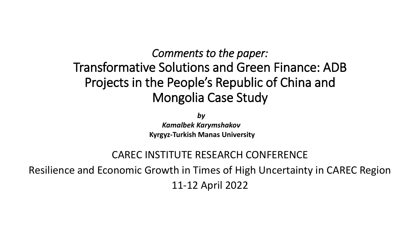### *Comments to the paper:* Transformative Solutions and Green Finance: ADB Projects in the People's Republic of China and Mongolia Case Study

*by*

*Kamalbek Karymshakov* **Kyrgyz-Turkish Manas University**

#### CAREC INSTITUTE RESEARCH CONFERENCE

Resilience and Economic Growth in Times of High Uncertainty in CAREC Region 11-12 April 2022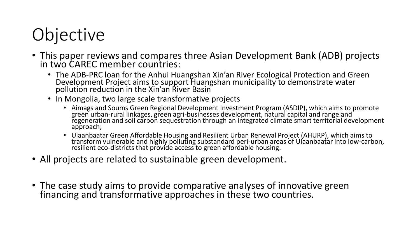# **Objective**

- This paper reviews and compares three Asian Development Bank (ADB) projects in two CAREC member countries:
	- The ADB-PRC loan for the Anhui Huangshan Xin'an River Ecological Protection and Green Development Project aims to support Huangshan municipality to demonstrate water pollution reduction in the Xin'an River Basin
	- In Mongolia, two large scale transformative projects
		- Aimags and Soums Green Regional Development Investment Program (ASDIP), which aims to promote green urban-rural linkages, green agri-businesses development, natural capital and rangeland regeneration and soil carbon sequestration through an integrated climate smart territorial development approach;
		- Ulaanbaatar Green Affordable Housing and Resilient Urban Renewal Project (AHURP), which aims to transform vulnerable and highly polluting substandard peri-urban areas of Ulaanbaatar into low-carbon, resilient eco-districts that provide access to green affordable housing.
- All projects are related to sustainable green development.
- The case study aims to provide comparative analyses of innovative green financing and transformative approaches in these two countries.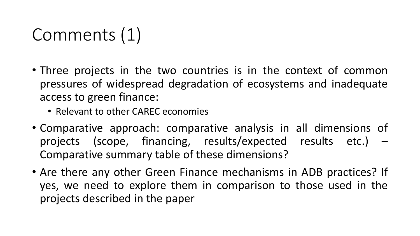## Comments (1)

- Three projects in the two countries is in the context of common pressures of widespread degradation of ecosystems and inadequate access to green finance:
	- Relevant to other CAREC economies
- Comparative approach: comparative analysis in all dimensions of projects (scope, financing, results/expected results etc.) – Comparative summary table of these dimensions?
- Are there any other Green Finance mechanisms in ADB practices? If yes, we need to explore them in comparison to those used in the projects described in the paper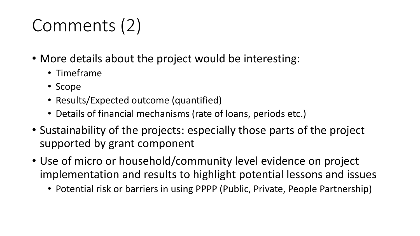# Comments (2)

- More details about the project would be interesting:
	- Timeframe
	- Scope
	- Results/Expected outcome (quantified)
	- Details of financial mechanisms (rate of loans, periods etc.)
- Sustainability of the projects: especially those parts of the project supported by grant component
- Use of micro or household/community level evidence on project implementation and results to highlight potential lessons and issues
	- Potential risk or barriers in using PPPP (Public, Private, People Partnership)